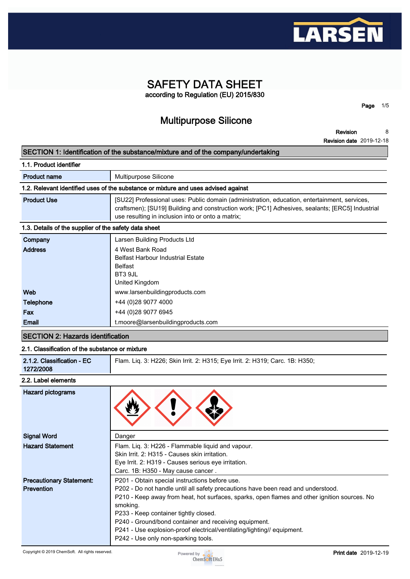

## **SAFETY DATA SHEET according to Regulation (EU) 2015/830**

**Multipurpose Silicone**

**Revision 8**

**Page 1/5**

**Revision date 2019-12-18**

## **SECTION 1: Identification of the substance/mixture and of the company/undertaking**

| 1.1. Product identifier                               |                                                                                                                                                                                                                                                      |  |  |
|-------------------------------------------------------|------------------------------------------------------------------------------------------------------------------------------------------------------------------------------------------------------------------------------------------------------|--|--|
| <b>Product name</b>                                   | Multipurpose Silicone                                                                                                                                                                                                                                |  |  |
|                                                       | 1.2. Relevant identified uses of the substance or mixture and uses advised against                                                                                                                                                                   |  |  |
| <b>Product Use</b>                                    | [SU22] Professional uses: Public domain (administration, education, entertainment, services,<br>craftsmen); [SU19] Building and construction work; [PC1] Adhesives, sealants; [ERC5] Industrial<br>use resulting in inclusion into or onto a matrix; |  |  |
| 1.3. Details of the supplier of the safety data sheet |                                                                                                                                                                                                                                                      |  |  |
| Company                                               | Larsen Building Products Ltd                                                                                                                                                                                                                         |  |  |
| <b>Address</b>                                        | 4 West Bank Road<br><b>Belfast Harbour Industrial Estate</b><br><b>Belfast</b><br>BT3 9JL<br>United Kingdom                                                                                                                                          |  |  |
| Web                                                   | www.larsenbuildingproducts.com                                                                                                                                                                                                                       |  |  |

| Fax          | +44 (0) 28 9077 6945               |
|--------------|------------------------------------|
| <b>Email</b> | t.moore@larsenbuildingproducts.com |

## **SECTION 2: Hazards identification**

## **2.1. Classification of the substance or mixture**

| 2.1.2. Classification - EC<br>1272/2008 | Flam. Liq. 3: H226; Skin Irrit. 2: H315; Eye Irrit. 2: H319; Carc. 1B: H350; |
|-----------------------------------------|------------------------------------------------------------------------------|
|-----------------------------------------|------------------------------------------------------------------------------|

#### **2.2. Label elements**

| <b>Hazard pictograms</b>        |                                                                                              |
|---------------------------------|----------------------------------------------------------------------------------------------|
| <b>Signal Word</b>              | Danger                                                                                       |
| <b>Hazard Statement</b>         | Flam. Liq. 3: H226 - Flammable liquid and vapour.                                            |
|                                 | Skin Irrit. 2: H315 - Causes skin irritation.                                                |
|                                 | Eye Irrit. 2: H319 - Causes serious eye irritation.                                          |
|                                 | Carc. 1B: H350 - May cause cancer.                                                           |
| <b>Precautionary Statement:</b> | P201 - Obtain special instructions before use.                                               |
| <b>Prevention</b>               | P202 - Do not handle until all safety precautions have been read and understood.             |
|                                 | P210 - Keep away from heat, hot surfaces, sparks, open flames and other ignition sources. No |
|                                 | smoking.                                                                                     |
|                                 | P233 - Keep container tightly closed.                                                        |
|                                 | P240 - Ground/bond container and receiving equipment.                                        |
|                                 | P241 - Use explosion-proof electrical/ventilating/lighting// equipment.                      |
|                                 | P242 - Use only non-sparking tools.                                                          |

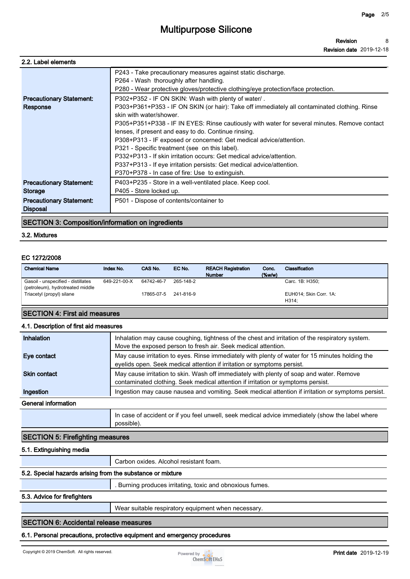| 2.2. Label elements                                |                                                                                                                                                                                                                                                                                                                                                                                                                                                                                                                                                                                                                                                                                                                                                                                                               |
|----------------------------------------------------|---------------------------------------------------------------------------------------------------------------------------------------------------------------------------------------------------------------------------------------------------------------------------------------------------------------------------------------------------------------------------------------------------------------------------------------------------------------------------------------------------------------------------------------------------------------------------------------------------------------------------------------------------------------------------------------------------------------------------------------------------------------------------------------------------------------|
| <b>Precautionary Statement:</b><br><b>Response</b> | P243 - Take precautionary measures against static discharge.<br>P264 - Wash thoroughly after handling.<br>P280 - Wear protective gloves/protective clothing/eye protection/face protection.<br>P302+P352 - IF ON SKIN: Wash with plenty of water/.<br>P303+P361+P353 - IF ON SKIN (or hair): Take off immediately all contaminated clothing. Rinse<br>skin with water/shower<br>P305+P351+P338 - IF IN EYES: Rinse cautiously with water for several minutes. Remove contact<br>lenses, if present and easy to do. Continue rinsing.<br>P308+P313 - IF exposed or concerned: Get medical advice/attention.<br>P321 - Specific treatment (see on this label).<br>P332+P313 - If skin irritation occurs: Get medical advice/attention.<br>P337+P313 - If eye irritation persists: Get medical advice/attention. |
|                                                    | P370+P378 - In case of fire: Use to extinguish.                                                                                                                                                                                                                                                                                                                                                                                                                                                                                                                                                                                                                                                                                                                                                               |
| <b>Precautionary Statement:</b><br>Storage         | P403+P235 - Store in a well-ventilated place. Keep cool.<br>P405 - Store locked up.                                                                                                                                                                                                                                                                                                                                                                                                                                                                                                                                                                                                                                                                                                                           |
| <b>Precautionary Statement:</b><br><b>Disposal</b> | P501 - Dispose of contents/container to                                                                                                                                                                                                                                                                                                                                                                                                                                                                                                                                                                                                                                                                                                                                                                       |

#### **SECTION 3: Composition/information on ingredients**

#### **3.2. Mixtures**

#### **EC 1272/2008**

| <b>Chemical Name</b>                                                   | Index No.    | CAS No.    | EC No.    | <b>REACH Registration</b><br><b>Number</b> | Conc.<br>$(\%w/w)$ | Classification                  |
|------------------------------------------------------------------------|--------------|------------|-----------|--------------------------------------------|--------------------|---------------------------------|
| Gasoil - unspecified - distillates<br>(petroleum), hydrotreated middle | 649-221-00-X | 64742-46-7 | 265-148-2 |                                            |                    | Carc. 1B: H350:                 |
| Triacetyl (propyl) silane                                              |              | 17865-07-5 | 241-816-9 |                                            |                    | EUH014; Skin Corr. 1A:<br>H314: |

### **SECTION 4: First aid measures**

#### **4.1. Description of first aid measures**

| <b>Inhalation</b>   | Inhalation may cause coughing, tightness of the chest and irritation of the respiratory system.<br>Move the exposed person to fresh air. Seek medical attention.             |
|---------------------|------------------------------------------------------------------------------------------------------------------------------------------------------------------------------|
| Eye contact         | May cause irritation to eyes. Rinse immediately with plenty of water for 15 minutes holding the<br>eyelids open. Seek medical attention if irritation or symptoms persist.   |
| <b>Skin contact</b> | May cause irritation to skin. Wash off immediately with plenty of soap and water. Remove<br>contaminated clothing. Seek medical attention if irritation or symptoms persist. |
| Ingestion           | Ingestion may cause nausea and vomiting. Seek medical attention if irritation or symptoms persist.                                                                           |
| General information |                                                                                                                                                                              |
|                     | In case of accident or if you feel unwell, seek medical advice immediately (show the label where                                                                             |

#### **SECTION 5: Firefighting measures**

#### **5.1. Extinguishing media**

**Carbon oxides. Alcohol resistant foam.**

#### **5.2. Special hazards arising from the substance or mixture**

**. Burning produces irritating, toxic and obnoxious fumes.**

#### **5.3. Advice for firefighters**

**Wear suitable respiratory equipment when necessary.**

#### **SECTION 6: Accidental release measures**

#### **6.1. Personal precautions, protective equipment and emergency procedures**

**possible).**

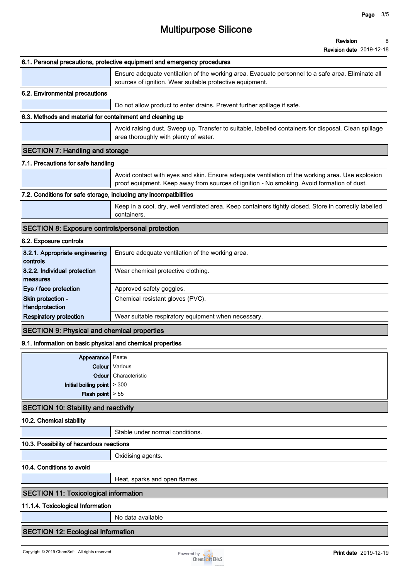| <b>Revision date</b> 2019-12-18 |  |
|---------------------------------|--|
|---------------------------------|--|

|                                                                   | NG VISIUI I UALG ZU 19-12-10                                                                                                                                                                   |
|-------------------------------------------------------------------|------------------------------------------------------------------------------------------------------------------------------------------------------------------------------------------------|
|                                                                   | 6.1. Personal precautions, protective equipment and emergency procedures                                                                                                                       |
|                                                                   | Ensure adequate ventilation of the working area. Evacuate personnel to a safe area. Eliminate all<br>sources of ignition. Wear suitable protective equipment.                                  |
| 6.2. Environmental precautions                                    |                                                                                                                                                                                                |
|                                                                   | Do not allow product to enter drains. Prevent further spillage if safe.                                                                                                                        |
| 6.3. Methods and material for containment and cleaning up         |                                                                                                                                                                                                |
|                                                                   | Avoid raising dust. Sweep up. Transfer to suitable, labelled containers for disposal. Clean spillage<br>area thoroughly with plenty of water.                                                  |
| <b>SECTION 7: Handling and storage</b>                            |                                                                                                                                                                                                |
| 7.1. Precautions for safe handling                                |                                                                                                                                                                                                |
|                                                                   | Avoid contact with eyes and skin. Ensure adequate ventilation of the working area. Use explosion<br>proof equipment. Keep away from sources of ignition - No smoking. Avoid formation of dust. |
| 7.2. Conditions for safe storage, including any incompatibilities |                                                                                                                                                                                                |
|                                                                   | Keep in a cool, dry, well ventilated area. Keep containers tightly closed. Store in correctly labelled<br>containers.                                                                          |
| <b>SECTION 8: Exposure controls/personal protection</b>           |                                                                                                                                                                                                |
| 8.2. Exposure controls                                            |                                                                                                                                                                                                |
| 8.2.1. Appropriate engineering<br>controls                        | Ensure adequate ventilation of the working area.                                                                                                                                               |
| 8.2.2. Individual protection<br>measures                          | Wear chemical protective clothing.                                                                                                                                                             |
| Eye / face protection                                             | Approved safety goggles.                                                                                                                                                                       |
| Skin protection -<br>Handprotection                               | Chemical resistant gloves (PVC).                                                                                                                                                               |
| <b>Respiratory protection</b>                                     | Wear suitable respiratory equipment when necessary.                                                                                                                                            |
| <b>SECTION 9: Physical and chemical properties</b>                |                                                                                                                                                                                                |
| 9.1. Information on basic physical and chemical properties        |                                                                                                                                                                                                |
| Appearance Paste                                                  |                                                                                                                                                                                                |
|                                                                   | <b>Colour</b> Various                                                                                                                                                                          |
|                                                                   | Odour Characteristic                                                                                                                                                                           |
| Initial boiling point $\geq 300$                                  |                                                                                                                                                                                                |
| <b>Flash point</b> $\geq 55$                                      |                                                                                                                                                                                                |
| <b>SECTION 10: Stability and reactivity</b>                       |                                                                                                                                                                                                |
|                                                                   |                                                                                                                                                                                                |

#### **10.2. Chemical stability**

**Stable under normal conditions.**

## **10.3. Possibility of hazardous reactions**

**Oxidising agents.**

## **10.4. Conditions to avoid**

**Heat, sparks and open flames.**

#### **SECTION 11: Toxicological information**

#### **11.1.4. Toxicological Information**

**No data available**

## **SECTION 12: Ecological information**

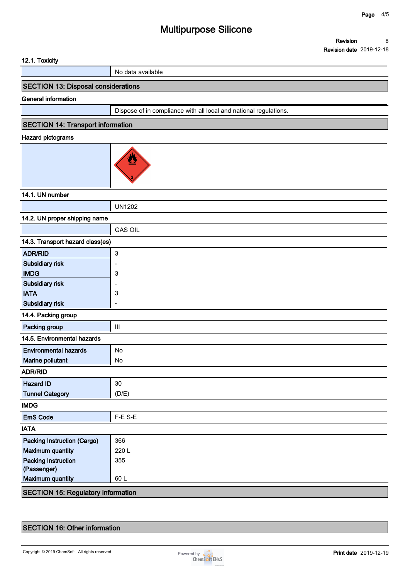| 12.1. Toxicity                            |                                                                   |  |  |
|-------------------------------------------|-------------------------------------------------------------------|--|--|
|                                           | No data available                                                 |  |  |
| SECTION 13: Disposal considerations       |                                                                   |  |  |
| General information                       |                                                                   |  |  |
|                                           | Dispose of in compliance with all local and national regulations. |  |  |
| <b>SECTION 14: Transport information</b>  |                                                                   |  |  |
| <b>Hazard pictograms</b>                  |                                                                   |  |  |
|                                           | <u>ky</u>                                                         |  |  |
| 14.1. UN number                           |                                                                   |  |  |
|                                           | <b>UN1202</b>                                                     |  |  |
| 14.2. UN proper shipping name             |                                                                   |  |  |
|                                           | <b>GAS OIL</b>                                                    |  |  |
| 14.3. Transport hazard class(es)          |                                                                   |  |  |
| <b>ADR/RID</b>                            | $\mathbf{3}$                                                      |  |  |
| Subsidiary risk                           |                                                                   |  |  |
| <b>IMDG</b>                               | 3                                                                 |  |  |
| Subsidiary risk                           |                                                                   |  |  |
| <b>IATA</b>                               | 3                                                                 |  |  |
| Subsidiary risk                           |                                                                   |  |  |
| 14.4. Packing group                       |                                                                   |  |  |
| Packing group                             | $\ensuremath{\mathsf{III}}\xspace$                                |  |  |
| 14.5. Environmental hazards               |                                                                   |  |  |
| <b>Environmental hazards</b>              | No                                                                |  |  |
| Marine pollutant                          | No                                                                |  |  |
| <b>ADR/RID</b>                            |                                                                   |  |  |
| <b>Hazard ID</b>                          | 30                                                                |  |  |
| <b>Tunnel Category</b>                    | (D/E)                                                             |  |  |
| <b>IMDG</b>                               |                                                                   |  |  |
| <b>EmS Code</b>                           | F-E S-E                                                           |  |  |
| <b>IATA</b>                               |                                                                   |  |  |
| <b>Packing Instruction (Cargo)</b>        | 366                                                               |  |  |
| <b>Maximum quantity</b>                   | 220L                                                              |  |  |
| <b>Packing Instruction</b>                | 355                                                               |  |  |
| (Passenger)                               |                                                                   |  |  |
| <b>Maximum quantity</b>                   | 60L                                                               |  |  |
| <b>SECTION 15: Regulatory information</b> |                                                                   |  |  |

## **SECTION 16: Other information**